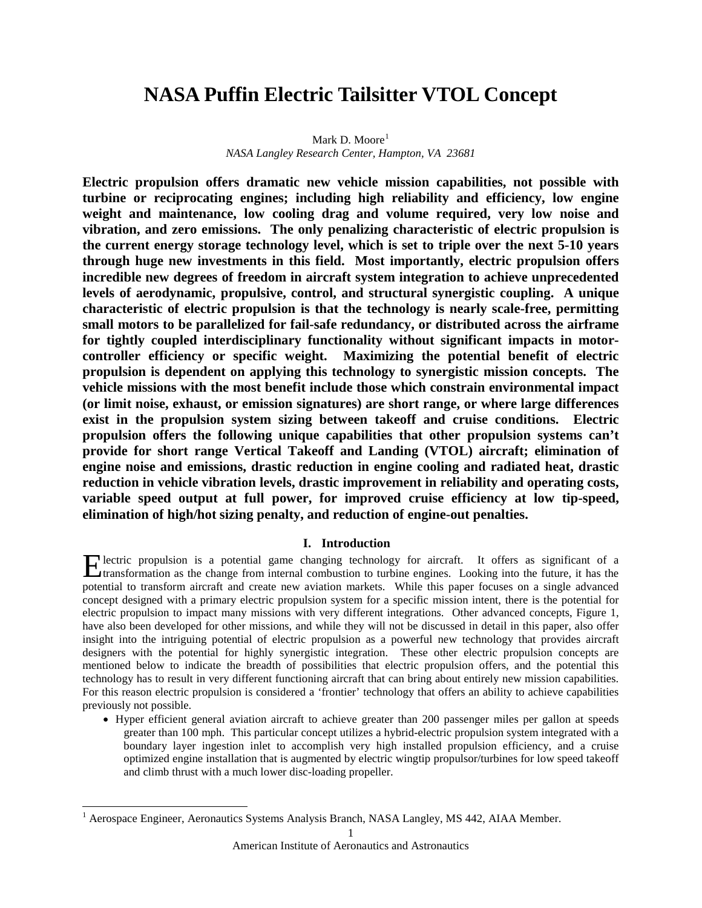# **NASA Puffin Electric Tailsitter VTOL Concept**

Mark D. Moore<sup>[1](#page-0-0)</sup> *NASA Langley Research Center, Hampton, VA 23681*

**Electric propulsion offers dramatic new vehicle mission capabilities, not possible with turbine or reciprocating engines; including high reliability and efficiency, low engine weight and maintenance, low cooling drag and volume required, very low noise and vibration, and zero emissions. The only penalizing characteristic of electric propulsion is the current energy storage technology level, which is set to triple over the next 5-10 years through huge new investments in this field. Most importantly, electric propulsion offers incredible new degrees of freedom in aircraft system integration to achieve unprecedented levels of aerodynamic, propulsive, control, and structural synergistic coupling. A unique characteristic of electric propulsion is that the technology is nearly scale-free, permitting small motors to be parallelized for fail-safe redundancy, or distributed across the airframe for tightly coupled interdisciplinary functionality without significant impacts in motorcontroller efficiency or specific weight. Maximizing the potential benefit of electric propulsion is dependent on applying this technology to synergistic mission concepts. The vehicle missions with the most benefit include those which constrain environmental impact (or limit noise, exhaust, or emission signatures) are short range, or where large differences exist in the propulsion system sizing between takeoff and cruise conditions. Electric propulsion offers the following unique capabilities that other propulsion systems can't provide for short range Vertical Takeoff and Landing (VTOL) aircraft; elimination of engine noise and emissions, drastic reduction in engine cooling and radiated heat, drastic reduction in vehicle vibration levels, drastic improvement in reliability and operating costs, variable speed output at full power, for improved cruise efficiency at low tip-speed, elimination of high/hot sizing penalty, and reduction of engine-out penalties.**

# **I. Introduction**

lectric propulsion is a potential game changing technology for aircraft. It offers as significant of a Hectric propulsion is a potential game changing technology for aircraft. It offers as significant of a transformation as the change from internal combustion to turbine engines. Looking into the future, it has the translati potential to transform aircraft and create new aviation markets. While this paper focuses on a single advanced concept designed with a primary electric propulsion system for a specific mission intent, there is the potential for electric propulsion to impact many missions with very different integrations. Other advanced concepts, Figure 1, have also been developed for other missions, and while they will not be discussed in detail in this paper, also offer insight into the intriguing potential of electric propulsion as a powerful new technology that provides aircraft designers with the potential for highly synergistic integration. These other electric propulsion concepts are mentioned below to indicate the breadth of possibilities that electric propulsion offers, and the potential this technology has to result in very different functioning aircraft that can bring about entirely new mission capabilities. For this reason electric propulsion is considered a 'frontier' technology that offers an ability to achieve capabilities previously not possible.

• Hyper efficient general aviation aircraft to achieve greater than 200 passenger miles per gallon at speeds greater than 100 mph. This particular concept utilizes a hybrid-electric propulsion system integrated with a boundary layer ingestion inlet to accomplish very high installed propulsion efficiency, and a cruise optimized engine installation that is augmented by electric wingtip propulsor/turbines for low speed takeoff and climb thrust with a much lower disc-loading propeller.

<span id="page-0-0"></span><sup>&</sup>lt;sup>1</sup> Aerospace Engineer, Aeronautics Systems Analysis Branch, NASA Langley, MS 442, AIAA Member.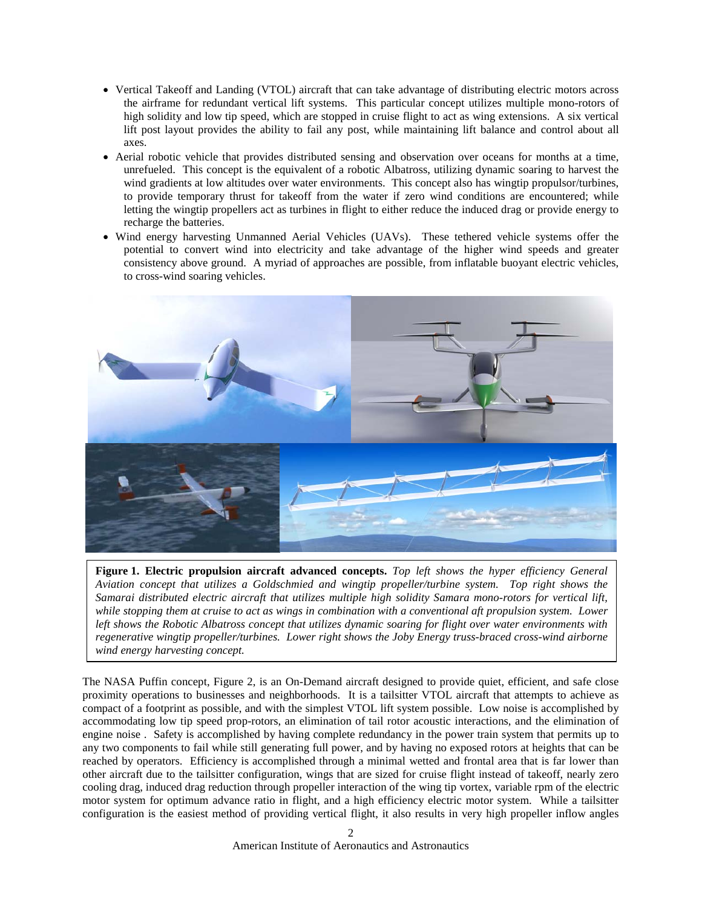- Vertical Takeoff and Landing (VTOL) aircraft that can take advantage of distributing electric motors across the airframe for redundant vertical lift systems. This particular concept utilizes multiple mono-rotors of high solidity and low tip speed, which are stopped in cruise flight to act as wing extensions. A six vertical lift post layout provides the ability to fail any post, while maintaining lift balance and control about all axes.
- Aerial robotic vehicle that provides distributed sensing and observation over oceans for months at a time, unrefueled. This concept is the equivalent of a robotic Albatross, utilizing dynamic soaring to harvest the wind gradients at low altitudes over water environments. This concept also has wingtip propulsor/turbines, to provide temporary thrust for takeoff from the water if zero wind conditions are encountered; while letting the wingtip propellers act as turbines in flight to either reduce the induced drag or provide energy to recharge the batteries.
- Wind energy harvesting Unmanned Aerial Vehicles (UAVs). These tethered vehicle systems offer the potential to convert wind into electricity and take advantage of the higher wind speeds and greater consistency above ground. A myriad of approaches are possible, from inflatable buoyant electric vehicles, to cross-wind soaring vehicles.



**Figure 1. Electric propulsion aircraft advanced concepts.** *Top left shows the hyper efficiency General Aviation concept that utilizes a Goldschmied and wingtip propeller/turbine system. Top right shows the Samarai distributed electric aircraft that utilizes multiple high solidity Samara mono-rotors for vertical lift,*  while stopping them at cruise to act as wings in combination with a conventional aft propulsion system. Lower *left shows the Robotic Albatross concept that utilizes dynamic soaring for flight over water environments with regenerative wingtip propeller/turbines. Lower right shows the Joby Energy truss-braced cross-wind airborne wind energy harvesting concept.*

The NASA Puffin concept, Figure 2, is an On-Demand aircraft designed to provide quiet, efficient, and safe close proximity operations to businesses and neighborhoods. It is a tailsitter VTOL aircraft that attempts to achieve as compact of a footprint as possible, and with the simplest VTOL lift system possible. Low noise is accomplished by accommodating low tip speed prop-rotors, an elimination of tail rotor acoustic interactions, and the elimination of engine noise . Safety is accomplished by having complete redundancy in the power train system that permits up to any two components to fail while still generating full power, and by having no exposed rotors at heights that can be reached by operators. Efficiency is accomplished through a minimal wetted and frontal area that is far lower than other aircraft due to the tailsitter configuration, wings that are sized for cruise flight instead of takeoff, nearly zero cooling drag, induced drag reduction through propeller interaction of the wing tip vortex, variable rpm of the electric motor system for optimum advance ratio in flight, and a high efficiency electric motor system. While a tailsitter configuration is the easiest method of providing vertical flight, it also results in very high propeller inflow angles

American Institute of Aeronautics and Astronautics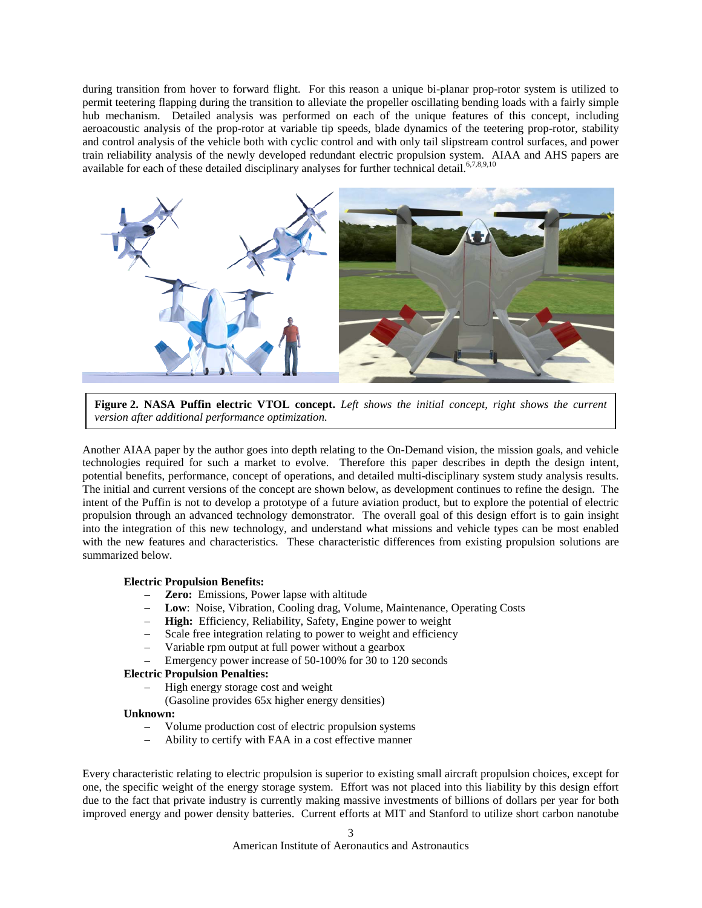during transition from hover to forward flight. For this reason a unique bi-planar prop-rotor system is utilized to permit teetering flapping during the transition to alleviate the propeller oscillating bending loads with a fairly simple hub mechanism. Detailed analysis was performed on each of the unique features of this concept, including aeroacoustic analysis of the prop-rotor at variable tip speeds, blade dynamics of the teetering prop-rotor, stability and control analysis of the vehicle both with cyclic control and with only tail slipstream control surfaces, and power train reliability analysis of the newly developed redundant electric propulsion system. AIAA and AHS papers are available for each of these detailed disciplinary analyses for further technical detail.<sup>6,7,8,9,10</sup>



**Figure 2. NASA Puffin electric VTOL concept.** *Left shows the initial concept, right shows the current version after additional performance optimization.*

Another AIAA paper by the author goes into depth relating to the On-Demand vision, the mission goals, and vehicle technologies required for such a market to evolve. Therefore this paper describes in depth the design intent, potential benefits, performance, concept of operations, and detailed multi-disciplinary system study analysis results. The initial and current versions of the concept are shown below, as development continues to refine the design. The intent of the Puffin is not to develop a prototype of a future aviation product, but to explore the potential of electric propulsion through an advanced technology demonstrator. The overall goal of this design effort is to gain insight into the integration of this new technology, and understand what missions and vehicle types can be most enabled with the new features and characteristics. These characteristic differences from existing propulsion solutions are summarized below.

### **Electric Propulsion Benefits:**

- **Zero:** Emissions, Power lapse with altitude
- **Low**: Noise, Vibration, Cooling drag, Volume, Maintenance, Operating Costs
- **High:** Efficiency, Reliability, Safety, Engine power to weight
- Scale free integration relating to power to weight and efficiency
- Variable rpm output at full power without a gearbox
- Emergency power increase of 50-100% for 30 to 120 seconds

## **Electric Propulsion Penalties:**

– High energy storage cost and weight

(Gasoline provides 65x higher energy densities)

#### **Unknown:**

- Volume production cost of electric propulsion systems
- Ability to certify with FAA in a cost effective manner

Every characteristic relating to electric propulsion is superior to existing small aircraft propulsion choices, except for one, the specific weight of the energy storage system. Effort was not placed into this liability by this design effort due to the fact that private industry is currently making massive investments of billions of dollars per year for both improved energy and power density batteries. Current efforts at MIT and Stanford to utilize short carbon nanotube

American Institute of Aeronautics and Astronautics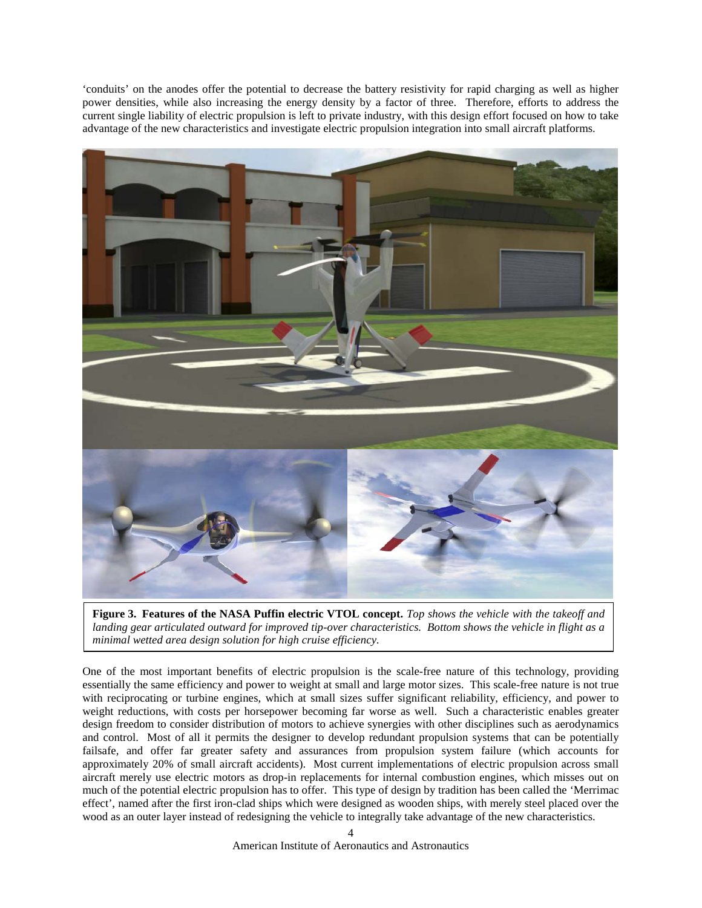'conduits' on the anodes offer the potential to decrease the battery resistivity for rapid charging as well as higher power densities, while also increasing the energy density by a factor of three. Therefore, efforts to address the current single liability of electric propulsion is left to private industry, with this design effort focused on how to take advantage of the new characteristics and investigate electric propulsion integration into small aircraft platforms.



**Figure 3. Features of the NASA Puffin electric VTOL concept.** *Top shows the vehicle with the takeoff and landing gear articulated outward for improved tip-over characteristics. Bottom shows the vehicle in flight as a minimal wetted area design solution for high cruise efficiency.*

One of the most important benefits of electric propulsion is the scale-free nature of this technology, providing essentially the same efficiency and power to weight at small and large motor sizes. This scale-free nature is not true with reciprocating or turbine engines, which at small sizes suffer significant reliability, efficiency, and power to weight reductions, with costs per horsepower becoming far worse as well. Such a characteristic enables greater design freedom to consider distribution of motors to achieve synergies with other disciplines such as aerodynamics and control. Most of all it permits the designer to develop redundant propulsion systems that can be potentially failsafe, and offer far greater safety and assurances from propulsion system failure (which accounts for approximately 20% of small aircraft accidents). Most current implementations of electric propulsion across small aircraft merely use electric motors as drop-in replacements for internal combustion engines, which misses out on much of the potential electric propulsion has to offer. This type of design by tradition has been called the 'Merrimac effect', named after the first iron-clad ships which were designed as wooden ships, with merely steel placed over the wood as an outer layer instead of redesigning the vehicle to integrally take advantage of the new characteristics.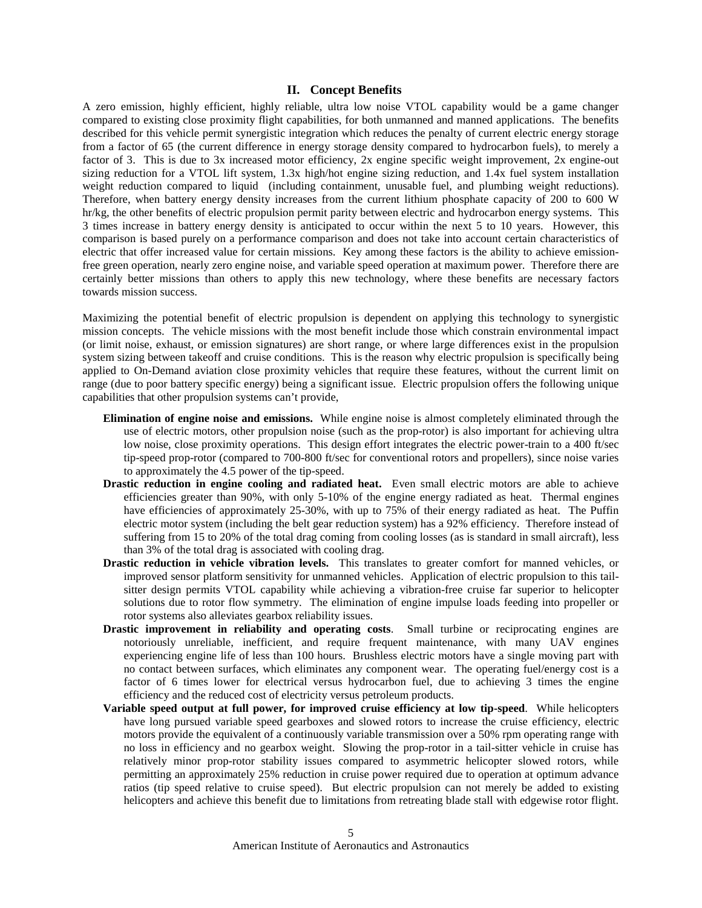#### **II. Concept Benefits**

A zero emission, highly efficient, highly reliable, ultra low noise VTOL capability would be a game changer compared to existing close proximity flight capabilities, for both unmanned and manned applications. The benefits described for this vehicle permit synergistic integration which reduces the penalty of current electric energy storage from a factor of 65 (the current difference in energy storage density compared to hydrocarbon fuels), to merely a factor of 3. This is due to 3x increased motor efficiency, 2x engine specific weight improvement, 2x engine-out sizing reduction for a VTOL lift system, 1.3x high/hot engine sizing reduction, and 1.4x fuel system installation weight reduction compared to liquid (including containment, unusable fuel, and plumbing weight reductions). Therefore, when battery energy density increases from the current lithium phosphate capacity of 200 to 600 W hr/kg, the other benefits of electric propulsion permit parity between electric and hydrocarbon energy systems. This 3 times increase in battery energy density is anticipated to occur within the next 5 to 10 years. However, this comparison is based purely on a performance comparison and does not take into account certain characteristics of electric that offer increased value for certain missions. Key among these factors is the ability to achieve emissionfree green operation, nearly zero engine noise, and variable speed operation at maximum power. Therefore there are certainly better missions than others to apply this new technology, where these benefits are necessary factors towards mission success.

Maximizing the potential benefit of electric propulsion is dependent on applying this technology to synergistic mission concepts. The vehicle missions with the most benefit include those which constrain environmental impact (or limit noise, exhaust, or emission signatures) are short range, or where large differences exist in the propulsion system sizing between takeoff and cruise conditions. This is the reason why electric propulsion is specifically being applied to On-Demand aviation close proximity vehicles that require these features, without the current limit on range (due to poor battery specific energy) being a significant issue. Electric propulsion offers the following unique capabilities that other propulsion systems can't provide,

- **Elimination of engine noise and emissions.** While engine noise is almost completely eliminated through the use of electric motors, other propulsion noise (such as the prop-rotor) is also important for achieving ultra low noise, close proximity operations. This design effort integrates the electric power-train to a 400 ft/sec tip-speed prop-rotor (compared to 700-800 ft/sec for conventional rotors and propellers), since noise varies to approximately the 4.5 power of the tip-speed.
- **Drastic reduction in engine cooling and radiated heat.** Even small electric motors are able to achieve efficiencies greater than 90%, with only 5-10% of the engine energy radiated as heat. Thermal engines have efficiencies of approximately 25-30%, with up to 75% of their energy radiated as heat. The Puffin electric motor system (including the belt gear reduction system) has a 92% efficiency. Therefore instead of suffering from 15 to 20% of the total drag coming from cooling losses (as is standard in small aircraft), less than 3% of the total drag is associated with cooling drag.
- **Drastic reduction in vehicle vibration levels.** This translates to greater comfort for manned vehicles, or improved sensor platform sensitivity for unmanned vehicles. Application of electric propulsion to this tailsitter design permits VTOL capability while achieving a vibration-free cruise far superior to helicopter solutions due to rotor flow symmetry. The elimination of engine impulse loads feeding into propeller or rotor systems also alleviates gearbox reliability issues.
- **Drastic improvement in reliability and operating costs**. Small turbine or reciprocating engines are notoriously unreliable, inefficient, and require frequent maintenance, with many UAV engines experiencing engine life of less than 100 hours. Brushless electric motors have a single moving part with no contact between surfaces, which eliminates any component wear. The operating fuel/energy cost is a factor of 6 times lower for electrical versus hydrocarbon fuel, due to achieving 3 times the engine efficiency and the reduced cost of electricity versus petroleum products.
- **Variable speed output at full power, for improved cruise efficiency at low tip-speed**. While helicopters have long pursued variable speed gearboxes and slowed rotors to increase the cruise efficiency, electric motors provide the equivalent of a continuously variable transmission over a 50% rpm operating range with no loss in efficiency and no gearbox weight. Slowing the prop-rotor in a tail-sitter vehicle in cruise has relatively minor prop-rotor stability issues compared to asymmetric helicopter slowed rotors, while permitting an approximately 25% reduction in cruise power required due to operation at optimum advance ratios (tip speed relative to cruise speed). But electric propulsion can not merely be added to existing helicopters and achieve this benefit due to limitations from retreating blade stall with edgewise rotor flight.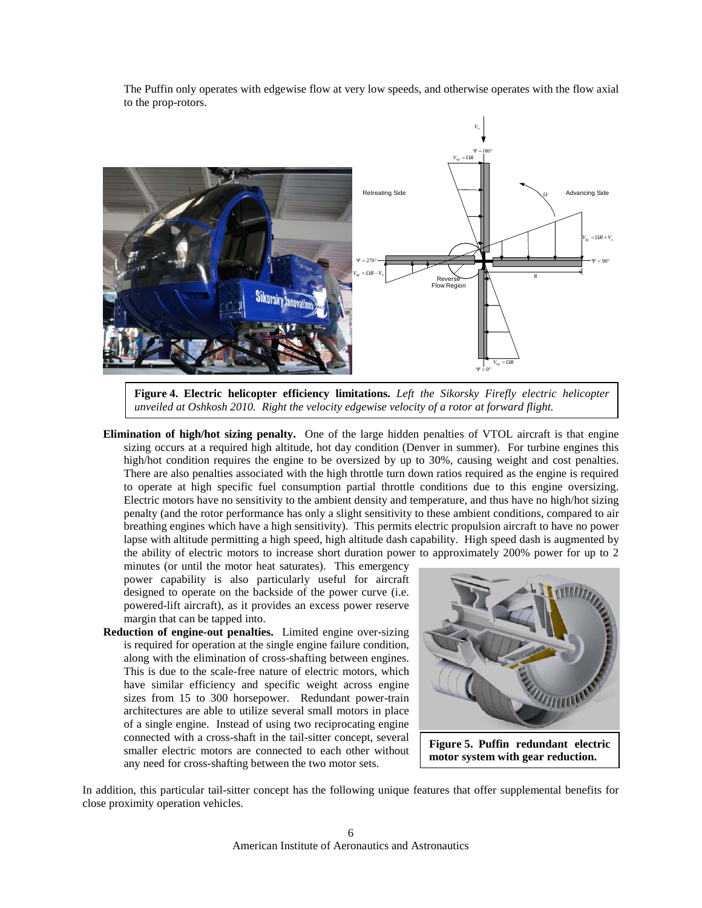The Puffin only operates with edgewise flow at very low speeds, and otherwise operates with the flow axial to the prop-rotors.



**Figure 4. Electric helicopter efficiency limitations.** *Left the Sikorsky Firefly electric helicopter unveiled at Oshkosh 2010. Right the velocity edgewise velocity of a rotor at forward flight.*

**Elimination of high/hot sizing penalty.** One of the large hidden penalties of VTOL aircraft is that engine sizing occurs at a required high altitude, hot day condition (Denver in summer). For turbine engines this high/hot condition requires the engine to be oversized by up to 30%, causing weight and cost penalties. There are also penalties associated with the high throttle turn down ratios required as the engine is required to operate at high specific fuel consumption partial throttle conditions due to this engine oversizing. Electric motors have no sensitivity to the ambient density and temperature, and thus have no high/hot sizing penalty (and the rotor performance has only a slight sensitivity to these ambient conditions, compared to air breathing engines which have a high sensitivity). This permits electric propulsion aircraft to have no power lapse with altitude permitting a high speed, high altitude dash capability. High speed dash is augmented by the ability of electric motors to increase short duration power to approximately 200% power for up to 2

minutes (or until the motor heat saturates). This emergency power capability is also particularly useful for aircraft designed to operate on the backside of the power curve (i.e. powered-lift aircraft), as it provides an excess power reserve margin that can be tapped into.

**Reduction of engine-out penalties.** Limited engine over-sizing is required for operation at the single engine failure condition, along with the elimination of cross-shafting between engines. This is due to the scale-free nature of electric motors, which have similar efficiency and specific weight across engine sizes from 15 to 300 horsepower. Redundant power-train architectures are able to utilize several small motors in place of a single engine. Instead of using two reciprocating engine connected with a cross-shaft in the tail-sitter concept, several smaller electric motors are connected to each other without any need for cross-shafting between the two motor sets.



**motor system with gear reduction.**

In addition, this particular tail-sitter concept has the following unique features that offer supplemental benefits for close proximity operation vehicles.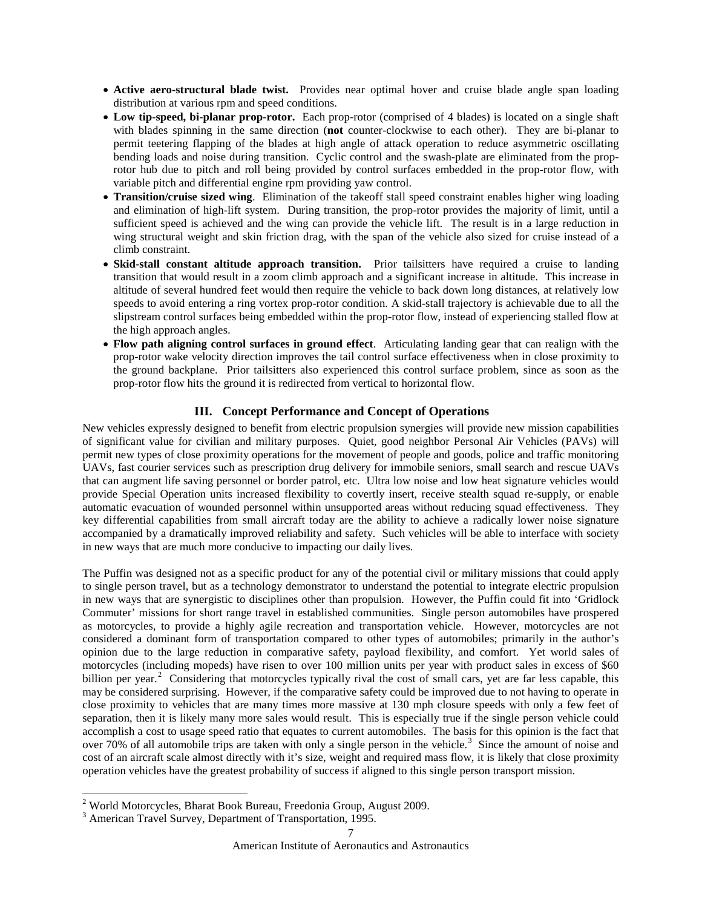- **Active aero-structural blade twist.** Provides near optimal hover and cruise blade angle span loading distribution at various rpm and speed conditions.
- **Low tip-speed, bi-planar prop-rotor.** Each prop-rotor (comprised of 4 blades) is located on a single shaft with blades spinning in the same direction (**not** counter-clockwise to each other). They are bi-planar to permit teetering flapping of the blades at high angle of attack operation to reduce asymmetric oscillating bending loads and noise during transition. Cyclic control and the swash-plate are eliminated from the proprotor hub due to pitch and roll being provided by control surfaces embedded in the prop-rotor flow, with variable pitch and differential engine rpm providing yaw control.
- **Transition/cruise sized wing**. Elimination of the takeoff stall speed constraint enables higher wing loading and elimination of high-lift system. During transition, the prop-rotor provides the majority of limit, until a sufficient speed is achieved and the wing can provide the vehicle lift. The result is in a large reduction in wing structural weight and skin friction drag, with the span of the vehicle also sized for cruise instead of a climb constraint.
- **Skid-stall constant altitude approach transition.** Prior tailsitters have required a cruise to landing transition that would result in a zoom climb approach and a significant increase in altitude. This increase in altitude of several hundred feet would then require the vehicle to back down long distances, at relatively low speeds to avoid entering a ring vortex prop-rotor condition. A skid-stall trajectory is achievable due to all the slipstream control surfaces being embedded within the prop-rotor flow, instead of experiencing stalled flow at the high approach angles.
- **Flow path aligning control surfaces in ground effect**. Articulating landing gear that can realign with the prop-rotor wake velocity direction improves the tail control surface effectiveness when in close proximity to the ground backplane. Prior tailsitters also experienced this control surface problem, since as soon as the prop-rotor flow hits the ground it is redirected from vertical to horizontal flow.

# **III. Concept Performance and Concept of Operations**

New vehicles expressly designed to benefit from electric propulsion synergies will provide new mission capabilities of significant value for civilian and military purposes. Quiet, good neighbor Personal Air Vehicles (PAVs) will permit new types of close proximity operations for the movement of people and goods, police and traffic monitoring UAVs, fast courier services such as prescription drug delivery for immobile seniors, small search and rescue UAVs that can augment life saving personnel or border patrol, etc. Ultra low noise and low heat signature vehicles would provide Special Operation units increased flexibility to covertly insert, receive stealth squad re-supply, or enable automatic evacuation of wounded personnel within unsupported areas without reducing squad effectiveness. They key differential capabilities from small aircraft today are the ability to achieve a radically lower noise signature accompanied by a dramatically improved reliability and safety. Such vehicles will be able to interface with society in new ways that are much more conducive to impacting our daily lives.

The Puffin was designed not as a specific product for any of the potential civil or military missions that could apply to single person travel, but as a technology demonstrator to understand the potential to integrate electric propulsion in new ways that are synergistic to disciplines other than propulsion. However, the Puffin could fit into 'Gridlock Commuter' missions for short range travel in established communities. Single person automobiles have prospered as motorcycles, to provide a highly agile recreation and transportation vehicle. However, motorcycles are not considered a dominant form of transportation compared to other types of automobiles; primarily in the author's opinion due to the large reduction in comparative safety, payload flexibility, and comfort. Yet world sales of motorcycles (including mopeds) have risen to over 100 million units per year with product sales in excess of \$60 billion per year.<sup>[2](#page-6-0)</sup> Considering that motorcycles typically rival the cost of small cars, yet are far less capable, this may be considered surprising. However, if the comparative safety could be improved due to not having to operate in close proximity to vehicles that are many times more massive at 130 mph closure speeds with only a few feet of separation, then it is likely many more sales would result. This is especially true if the single person vehicle could accomplish a cost to usage speed ratio that equates to current automobiles. The basis for this opinion is the fact that over  $70\%$  of all automobile trips are taken with only a single person in the vehicle.<sup>[3](#page-6-1)</sup> Since the amount of noise and cost of an aircraft scale almost directly with it's size, weight and required mass flow, it is likely that close proximity operation vehicles have the greatest probability of success if aligned to this single person transport mission.

<span id="page-6-0"></span> <sup>2</sup> World Motorcycles, Bharat Book Bureau, Freedonia Group, August 2009.

<span id="page-6-1"></span><sup>&</sup>lt;sup>3</sup> American Travel Survey, Department of Transportation, 1995.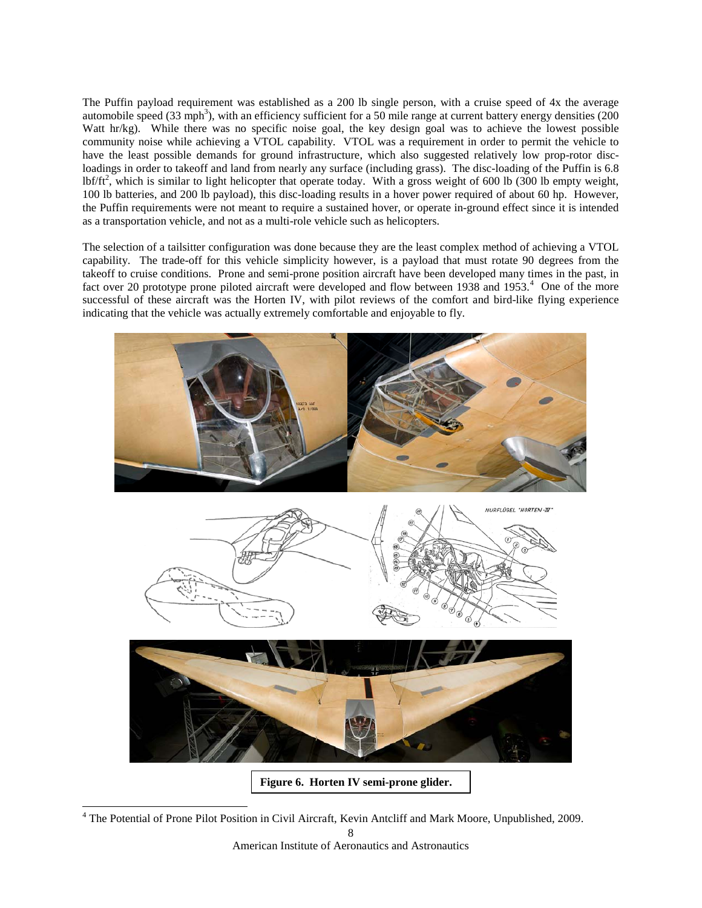The Puffin payload requirement was established as a 200 lb single person, with a cruise speed of 4x the average automobile speed (33 mph<sup>3</sup>), with an efficiency sufficient for a 50 mile range at current battery energy densities (200 Watt hr/kg). While there was no specific noise goal, the key design goal was to achieve the lowest possible community noise while achieving a VTOL capability. VTOL was a requirement in order to permit the vehicle to have the least possible demands for ground infrastructure, which also suggested relatively low prop-rotor discloadings in order to takeoff and land from nearly any surface (including grass). The disc-loading of the Puffin is 6.8 lbf/ft<sup>2</sup>, which is similar to light helicopter that operate today. With a gross weight of 600 lb (300 lb empty weight, 100 lb batteries, and 200 lb payload), this disc-loading results in a hover power required of about 60 hp. However, the Puffin requirements were not meant to require a sustained hover, or operate in-ground effect since it is intended as a transportation vehicle, and not as a multi-role vehicle such as helicopters.

The selection of a tailsitter configuration was done because they are the least complex method of achieving a VTOL capability. The trade-off for this vehicle simplicity however, is a payload that must rotate 90 degrees from the takeoff to cruise conditions. Prone and semi-prone position aircraft have been developed many times in the past, in fact over 20 prototype prone piloted aircraft were developed and flow between 1938 and 1953.<sup>[4](#page-7-0)</sup> One of the more successful of these aircraft was the Horten IV, with pilot reviews of the comfort and bird-like flying experience indicating that the vehicle was actually extremely comfortable and enjoyable to fly.







**Figure 6. Horten IV semi-prone glider.**

<span id="page-7-0"></span><sup>&</sup>lt;sup>4</sup> The Potential of Prone Pilot Position in Civil Aircraft, Kevin Antcliff and Mark Moore, Unpublished, 2009.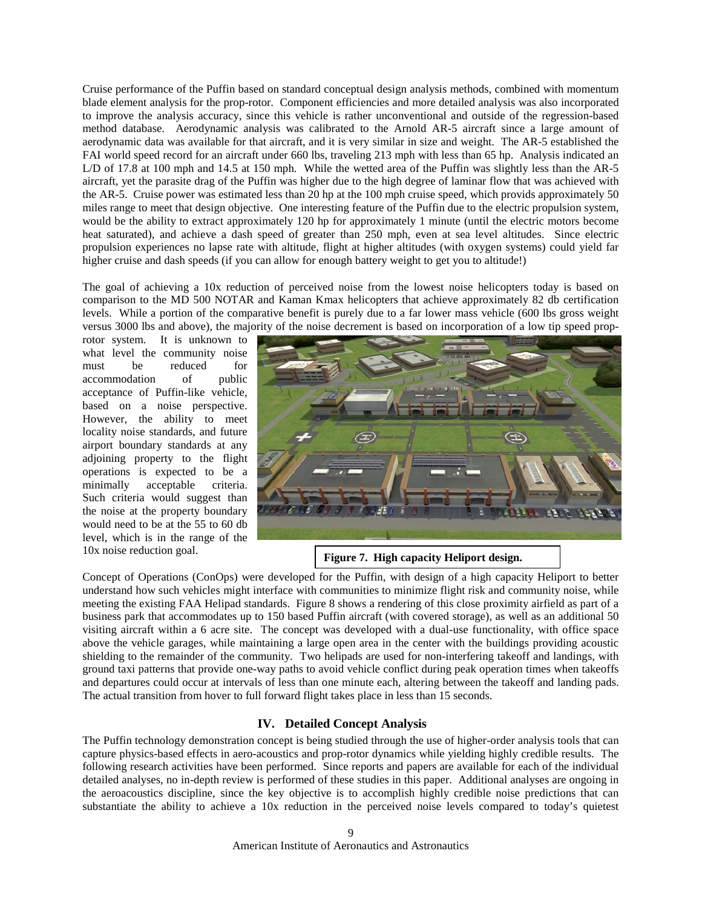Cruise performance of the Puffin based on standard conceptual design analysis methods, combined with momentum blade element analysis for the prop-rotor. Component efficiencies and more detailed analysis was also incorporated to improve the analysis accuracy, since this vehicle is rather unconventional and outside of the regression-based method database. Aerodynamic analysis was calibrated to the Arnold AR-5 aircraft since a large amount of aerodynamic data was available for that aircraft, and it is very similar in size and weight. The AR-5 established the FAI world speed record for an aircraft under 660 lbs, traveling 213 mph with less than 65 hp. Analysis indicated an L/D of 17.8 at 100 mph and 14.5 at 150 mph. While the wetted area of the Puffin was slightly less than the AR-5 aircraft, yet the parasite drag of the Puffin was higher due to the high degree of laminar flow that was achieved with the AR-5. Cruise power was estimated less than 20 hp at the 100 mph cruise speed, which provids approximately 50 miles range to meet that design objective. One interesting feature of the Puffin due to the electric propulsion system, would be the ability to extract approximately 120 hp for approximately 1 minute (until the electric motors become heat saturated), and achieve a dash speed of greater than 250 mph, even at sea level altitudes. Since electric propulsion experiences no lapse rate with altitude, flight at higher altitudes (with oxygen systems) could yield far higher cruise and dash speeds (if you can allow for enough battery weight to get you to altitude!)

The goal of achieving a 10x reduction of perceived noise from the lowest noise helicopters today is based on comparison to the MD 500 NOTAR and Kaman Kmax helicopters that achieve approximately 82 db certification levels. While a portion of the comparative benefit is purely due to a far lower mass vehicle (600 lbs gross weight versus 3000 lbs and above), the majority of the noise decrement is based on incorporation of a low tip speed prop-

rotor system. It is unknown to what level the community noise must be reduced for accommodation of public acceptance of Puffin-like vehicle, based on a noise perspective. However, the ability to meet locality noise standards, and future airport boundary standards at any adjoining property to the flight operations is expected to be a minimally acceptable criteria. Such criteria would suggest than the noise at the property boundary would need to be at the 55 to 60 db level, which is in the range of the 10x noise reduction goal.



**Figure 7. High capacity Heliport design.**

Concept of Operations (ConOps) were developed for the Puffin, with design of a high capacity Heliport to better understand how such vehicles might interface with communities to minimize flight risk and community noise, while meeting the existing FAA Helipad standards. Figure 8 shows a rendering of this close proximity airfield as part of a business park that accommodates up to 150 based Puffin aircraft (with covered storage), as well as an additional 50 visiting aircraft within a 6 acre site. The concept was developed with a dual-use functionality, with office space above the vehicle garages, while maintaining a large open area in the center with the buildings providing acoustic shielding to the remainder of the community. Two helipads are used for non-interfering takeoff and landings, with ground taxi patterns that provide one-way paths to avoid vehicle conflict during peak operation times when takeoffs and departures could occur at intervals of less than one minute each, altering between the takeoff and landing pads. The actual transition from hover to full forward flight takes place in less than 15 seconds.

# **IV. Detailed Concept Analysis**

The Puffin technology demonstration concept is being studied through the use of higher-order analysis tools that can capture physics-based effects in aero-acoustics and prop-rotor dynamics while yielding highly credible results. The following research activities have been performed. Since reports and papers are available for each of the individual detailed analyses, no in-depth review is performed of these studies in this paper. Additional analyses are ongoing in the aeroacoustics discipline, since the key objective is to accomplish highly credible noise predictions that can substantiate the ability to achieve a 10x reduction in the perceived noise levels compared to today's quietest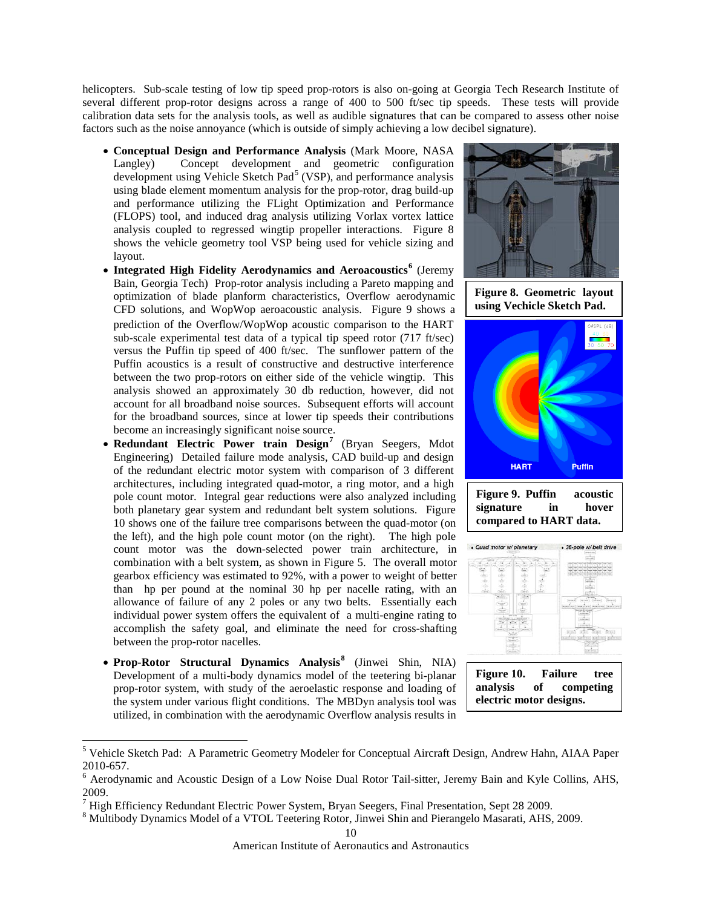helicopters. Sub-scale testing of low tip speed prop-rotors is also on-going at Georgia Tech Research Institute of several different prop-rotor designs across a range of 400 to 500 ft/sec tip speeds. These tests will provide calibration data sets for the analysis tools, as well as audible signatures that can be compared to assess other noise factors such as the noise annoyance (which is outside of simply achieving a low decibel signature).

- **Conceptual Design and Performance Analysis** (Mark Moore, NASA Langley) Concept development and geometric configuration development using Vehicle Sketch Pad<sup>[5](#page-9-0)</sup> (VSP), and performance analysis using blade element momentum analysis for the prop-rotor, drag build-up and performance utilizing the FLight Optimization and Performance (FLOPS) tool, and induced drag analysis utilizing Vorlax vortex lattice analysis coupled to regressed wingtip propeller interactions. Figure 8 shows the vehicle geometry tool VSP being used for vehicle sizing and layout.
- **Integrated High Fidelity Aerodynamics and Aeroacoustics [6](#page-9-1)** (Jeremy optimization of blade planform characteristics, Overflow aerodynamic CFD solutions, and WopWop aeroacoustic analysis. Figure 9 shows a Bain, Georgia Tech) Prop-rotor analysis including a Pareto mapping and prediction of the Overflow/WopWop acoustic comparison to the HART sub-scale experimental test data of a typical tip speed rotor (717 ft/sec) versus the Puffin tip speed of 400 ft/sec. The sunflower pattern of the Puffin acoustics is a result of constructive and destructive interference between the two prop-rotors on either side of the vehicle wingtip. This analysis showed an approximately 30 db reduction, however, did not account for all broadband noise sources. Subsequent efforts will account for the broadband sources, since at lower tip speeds their contributions become an increasingly significant noise source.
- **Redundant Electric Power train Design[7](#page-9-2)** (Bryan Seegers, Mdot pole count motor. Integral gear reductions were also analyzed including both planetary gear system and redundant belt system solutions. Figure 10 shows one of the failure tree comparisons between the quad-motor (on the left), and the high pole count motor (on the right). The high pole Engineering) Detailed failure mode analysis, CAD build-up and design of the redundant electric motor system with comparison of 3 different architectures, including integrated quad-motor, a ring motor, and a high count motor was the down-selected power train architecture, in combination with a belt system, as shown in Figure 5. The overall motor gearbox efficiency was estimated to 92%, with a power to weight of better than hp per pound at the nominal 30 hp per nacelle rating, with an allowance of failure of any 2 poles or any two belts. Essentially each individual power system offers the equivalent of a multi-engine rating to accomplish the safety goal, and eliminate the need for cross-shafting between the prop-rotor nacelles.
- **Prop-Rotor Structural Dynamics Analysis[8](#page-9-3)** (Jinwei Shin, NIA) Development of a multi-body dynamics model of the teetering bi-planar prop-rotor system, with study of the aeroelastic response and loading of the system under various flight conditions. The MBDyn analysis tool was utilized, in combination with the aerodynamic Overflow analysis results in



**Figure 8. Geometric layout using Vechicle Sketch Pad.**







**Figure 10. Failure tree analysis of competing electric motor designs.**

<span id="page-9-0"></span> <sup>5</sup> Vehicle Sketch Pad: A Parametric Geometry Modeler for Conceptual Aircraft Design, Andrew Hahn, AIAA Paper 2010-657.

<span id="page-9-1"></span><sup>6</sup> Aerodynamic and Acoustic Design of a Low Noise Dual Rotor Tail-sitter, Jeremy Bain and Kyle Collins, AHS, 2009.

<span id="page-9-2"></span> $7$  High Efficiency Redundant Electric Power System, Bryan Seegers, Final Presentation, Sept 28 2009.

<span id="page-9-3"></span><sup>8</sup> Multibody Dynamics Model of a VTOL Teetering Rotor, Jinwei Shin and Pierangelo Masarati, AHS, 2009.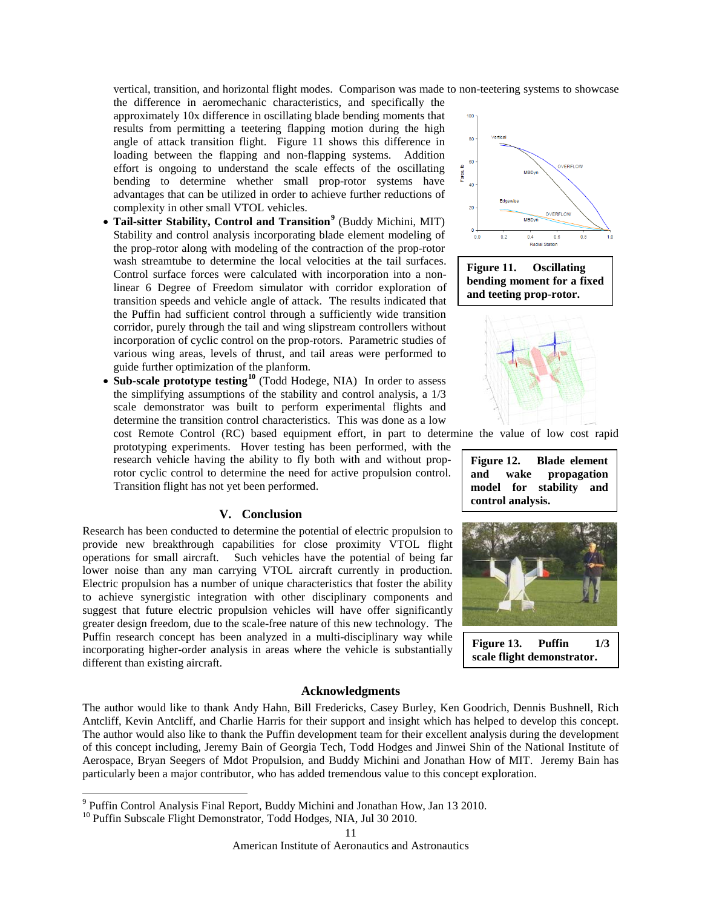vertical, transition, and horizontal flight modes. Comparison was made to non-teetering systems to showcase

the difference in aeromechanic characteristics, and specifically the approximately 10x difference in oscillating blade bending moments that results from permitting a teetering flapping motion during the high angle of attack transition flight. Figure 11 shows this difference in loading between the flapping and non-flapping systems. Addition effort is ongoing to understand the scale effects of the oscillating bending to determine whether small prop-rotor systems have advantages that can be utilized in order to achieve further reductions of complexity in other small VTOL vehicles.

- **Tail-sitter Stability, Control and Transition[9](#page-10-0)** (Buddy Michini, MIT) wash streamtube to determine the local velocities at the tail surfaces. Control surface forces were calculated with incorporation into a nonlinear 6 Degree of Freedom simulator with corridor exploration of transition speeds and vehicle angle of attack. The results indicated that Stability and control analysis incorporating blade element modeling of the prop-rotor along with modeling of the contraction of the prop-rotor the Puffin had sufficient control through a sufficiently wide transition corridor, purely through the tail and wing slipstream controllers without incorporation of cyclic control on the prop-rotors. Parametric studies of various wing areas, levels of thrust, and tail areas were performed to guide further optimization of the planform.
- **Sub-scale prototype testing[10](#page-10-1)** (Todd Hodege, NIA) In order to assess the simplifying assumptions of the stability and control analysis, a 1/3 scale demonstrator was built to perform experimental flights and determine the transition control characteristics. This was done as a low

prototyping experiments. Hover testing has been performed, with the research vehicle having the ability to fly both with and without proprotor cyclic control to determine the need for active propulsion control.

Transition flight has not yet been performed.

#### **V. Conclusion**

Research has been conducted to determine the potential of electric propulsion to provide new breakthrough capabilities for close proximity VTOL flight operations for small aircraft. Such vehicles have the potential of being far lower noise than any man carrying VTOL aircraft currently in production. Electric propulsion has a number of unique characteristics that foster the ability to achieve synergistic integration with other disciplinary components and suggest that future electric propulsion vehicles will have offer significantly greater design freedom, due to the scale-free nature of this new technology. The Puffin research concept has been analyzed in a multi-disciplinary way while incorporating higher-order analysis in areas where the vehicle is substantially different than existing aircraft.

#### **Acknowledgments**

The author would like to thank Andy Hahn, Bill Fredericks, Casey Burley, Ken Goodrich, Dennis Bushnell, Rich Antcliff, Kevin Antcliff, and Charlie Harris for their support and insight which has helped to develop this concept. The author would also like to thank the Puffin development team for their excellent analysis during the development of this concept including, Jeremy Bain of Georgia Tech, Todd Hodges and Jinwei Shin of the National Institute of Aerospace, Bryan Seegers of Mdot Propulsion, and Buddy Michini and Jonathan How of MIT. Jeremy Bain has particularly been a major contributor, who has added tremendous value to this concept exploration.









cost Remote Control (RC) based equipment effort, in part to determine the value of low cost rapid

**Figure 12. Blade element and wake propagation model for stability and control analysis.**



**Figure 13. Puffin 1/3 scale flight demonstrator.**

<span id="page-10-0"></span><sup>&</sup>lt;sup>9</sup> Puffin Control Analysis Final Report, Buddy Michini and Jonathan How, Jan 13 2010.<br><sup>10</sup> Puffin Subscale Flight Demonstrator, Todd Hodges, NIA, Jul 30 2010.

<span id="page-10-1"></span>